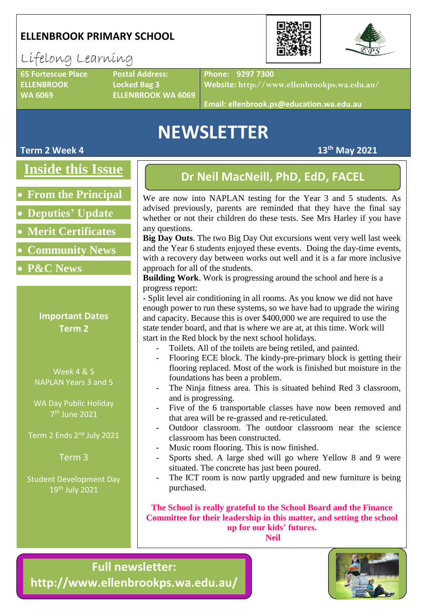### **ELLENBROOK PRIMARY SCHOOL**



### Lifelong Learning

**ELLENBROOK Locked Bag 3**

**65 Fortescue Place Postal Address: WA 6069 ELLENBROOK WA 6069** **Phone: 9297 7300**

**Website: http://www.ellenbrookps.wa.edu.au/**

**Email: ellenbrook.ps@education.wa.edu.au**

# **NEWSLETTER**

**Inside this Issue**

- **From the Principal**
- **Deputies' Update**
- **Merit Certificates**
- **Community News**
- **P&C News**

### **Important Dates Term 2**

Week 4 & 5 NAPLAN Years 3 and 5

WA Day Public Holiday 7 th June 2021

Term 2 Ends 2<sup>nd</sup> July 2021

Term 3

Student Development Day 19th July 2021

### **Dr Neil MacNeill, PhD, EdD, FACEL**

We are now into NAPLAN testing for the Year 3 and 5 students. As advised previously, parents are reminded that they have the final say whether or not their children do these tests. See Mrs Harley if you have any questions.

**Big Day Outs**. The two Big Day Out excursions went very well last week and the Year 6 students enjoyed these events. Doing the day-time events, with a recovery day between works out well and it is a far more inclusive approach for all of the students.

**Building Work**. Work is progressing around the school and here is a progress report:

- Split level air conditioning in all rooms. As you know we did not have enough power to run these systems, so we have had to upgrade the wiring and capacity. Because this is over \$400,000 we are required to use the state tender board, and that is where we are at, at this time. Work will start in the Red block by the next school holidays.

- Toilets. All of the toilets are being retiled, and painted.
- Flooring ECE block. The kindy-pre-primary block is getting their flooring replaced. Most of the work is finished but moisture in the foundations has been a problem.
- The Ninja fitness area. This is situated behind Red 3 classroom, and is progressing.
- Five of the 6 transportable classes have now been removed and that area will be re-grassed and re-reticulated.
- Outdoor classroom. The outdoor classroom near the science classroom has been constructed.
- Music room flooring. This is now finished.
- Sports shed. A large shed will go where Yellow 8 and 9 were situated. The concrete has just been poured.
- The ICT room is now partly upgraded and new furniture is being purchased.

**The School is really grateful to the School Board and the Finance Committee for their leadership in this matter, and setting the school up for our kids' futures. Neil**





**Term 2 Week 4 13th May 2021**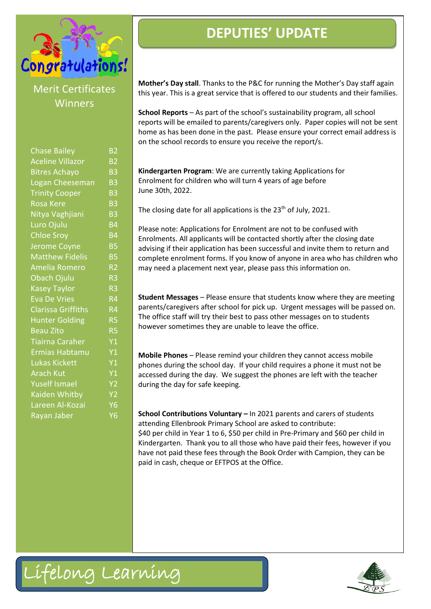

### Merit Certificates Winners

| <b>Chase Bailey</b>       | B <sub>2</sub>                    |
|---------------------------|-----------------------------------|
| <b>Aceline Villazor</b>   | B <sub>2</sub>                    |
| <b>Bitres Achayo</b>      | B <sub>3</sub>                    |
| Logan Cheeseman           | B <sub>3</sub>                    |
| <b>Trinity Cooper</b>     | B <sub>3</sub>                    |
| <b>Rosa Kere</b>          | B <sub>3</sub>                    |
| Nitya Vaghjiani           | B <sub>3</sub>                    |
| Luro Ojulu                | <b>B4</b>                         |
| <b>Chloe Sroy</b>         | B <sub>4</sub>                    |
| Jerome Coyne              | <b>B5</b>                         |
| <b>Matthew Fidelis</b>    | $\overline{\mathsf{B}}\mathsf{5}$ |
| Amelia Romero             | R <sub>2</sub>                    |
| Obach Ojulu               | R <sub>3</sub>                    |
| <b>Kasey Taylor</b>       | R <sub>3</sub>                    |
| <b>Eva De Vries</b>       | $R\overline{4}$                   |
| <b>Clarissa Griffiths</b> | R <sub>4</sub>                    |
| <b>Hunter Golding</b>     | R <sub>5</sub>                    |
| <b>Beau Zito</b>          | R <sub>5</sub>                    |
| <b>Tiairna Caraher</b>    | Y1                                |
| Ermias Habtamu            | Y1                                |
| <b>Lukas Kickett</b>      | Y1                                |
| <b>Arach Kut</b>          | Y1                                |
| <b>Yuself Ismael</b>      | Y <sub>2</sub>                    |
| Kaiden Whitby             | Y <sub>2</sub>                    |
| Lareen Al-Kozai           | Y6                                |
| Rayan Jaber               | Υ6                                |
|                           |                                   |

### **DEPUTIES' UPDATE**

**Mother's Day stall**. Thanks to the P&C for running the Mother's Day staff again this year. This is a great service that is offered to our students and their families.

**School Reports** – As part of the school's sustainability program, all school reports will be emailed to parents/caregivers only. Paper copies will not be sent home as has been done in the past. Please ensure your correct email address is on the school records to ensure you receive the report/s.

**Kindergarten Program**: We are currently taking Applications for Enrolment for children who will turn 4 years of age before June 30th, 2022.

The closing date for all applications is the 23<sup>th</sup> of July, 2021.

Please note: Applications for Enrolment are not to be confused with Enrolments. All applicants will be contacted shortly after the closing date advising if their application has been successful and invite them to return and complete enrolment forms. If you know of anyone in area who has children who may need a placement next year, please pass this information on.

**Student Messages** – Please ensure that students know where they are meeting parents/caregivers after school for pick up. Urgent messages will be passed on. The office staff will try their best to pass other messages on to students however sometimes they are unable to leave the office.

**Mobile Phones** – Please remind your children they cannot access mobile phones during the school day. If your child requires a phone it must not be accessed during the day. We suggest the phones are left with the teacher during the day for safe keeping.

**School Contributions Voluntary –** In 2021 parents and carers of students attending Ellenbrook Primary School are asked to contribute: \$40 per child in Year 1 to 6, \$50 per child in Pre-Primary and \$60 per child in Kindergarten. Thank you to all those who have paid their fees, however if you have not paid these fees through the Book Order with Campion, they can be paid in cash, cheque or EFTPOS at the Office.



Lifelong Learning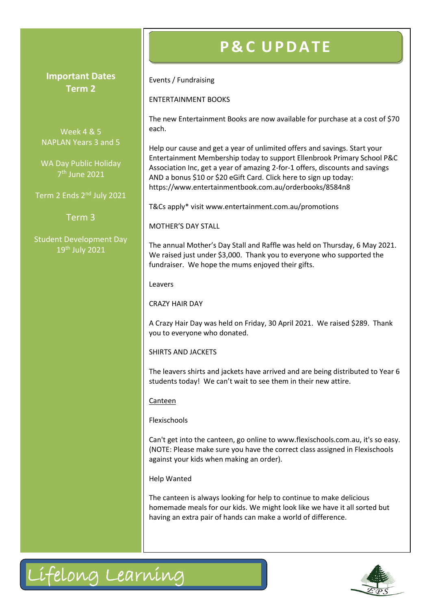#### **Important Dates Term 2**

Week 4 & 5 NAPLAN Years 3 and 5

WA Day Public Holiday 7 th June 2021

Term 2 Ends 2nd July 2021

Term 3

Student Development Day 19th July 2021

# **P & C U PD A TE**

Events / Fundraising

ENTERTAINMENT BOOKS

The new Entertainment Books are now available for purchase at a cost of \$70 each.

Help our cause and get a year of unlimited offers and savings. Start your Entertainment Membership today to support Ellenbrook Primary School P&C Association Inc, get a year of amazing 2-for-1 offers, discounts and savings AND a bonus \$10 or \$20 eGift Card. Click here to sign up today: <https://www.entertainmentbook.com.au/orderbooks/8584n8>

T&Cs apply\* visit [www.entertainment.com.au/promotions](http://www.entertainment.com.au/promotions)

MOTHER'S DAY STALL

The annual Mother's Day Stall and Raffle was held on Thursday, 6 May 2021. We raised just under \$3,000. Thank you to everyone who supported the fundraiser. We hope the mums enjoyed their gifts.

Leavers

CRAZY HAIR DAY

A Crazy Hair Day was held on Friday, 30 April 2021. We raised \$289. Thank you to everyone who donated.

SHIRTS AND JACKETS

The leavers shirts and jackets have arrived and are being distributed to Year 6 students today! We can't wait to see them in their new attire.

Canteen

Flexischools

Can't get into the canteen, go online to www.flexischools.com.au, it's so easy. (NOTE: Please make sure you have the correct class assigned in Flexischools against your kids when making an order).

Help Wanted

The canteen is always looking for help to continue to make delicious homemade meals for our kids. We might look like we have it all sorted but having an extra pair of hands can make a world of difference.